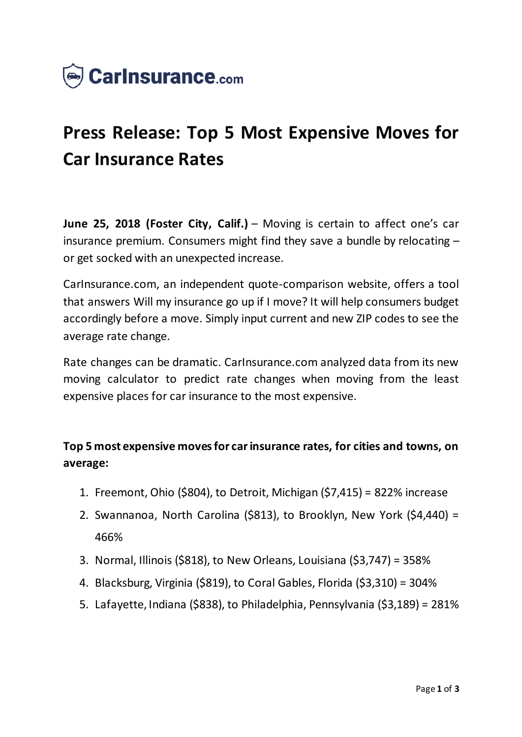

## **Press Release: Top 5 Most Expensive Moves for Car Insurance Rates**

**June 25, 2018 (Foster City, Calif.)** – Moving is certain to affect one's car insurance premium. Consumers might find they save a bundle by relocating – or get socked with an unexpected increase.

CarInsurance.com, an independent quote-comparison website, offers a tool that answers Will my insurance go up if I move? It will help consumers budget accordingly before a move. Simply input current and new ZIP codes to see the average rate change.

Rate changes can be dramatic. CarInsurance.com analyzed data from its new moving calculator to predict rate changes when moving from the least expensive places for car insurance to the most expensive.

## **Top 5 most expensive moves for car insurance rates, for cities and towns, on average:**

- 1. Freemont, Ohio (\$804), to Detroit, Michigan (\$7,415) = 822% increase
- 2. Swannanoa, North Carolina (\$813), to Brooklyn, New York (\$4,440) = 466%
- 3. Normal, Illinois (\$818), to New Orleans, Louisiana (\$3,747) = 358%
- 4. Blacksburg, Virginia (\$819), to Coral Gables, Florida (\$3,310) = 304%
- 5. Lafayette, Indiana (\$838), to Philadelphia, Pennsylvania (\$3,189) = 281%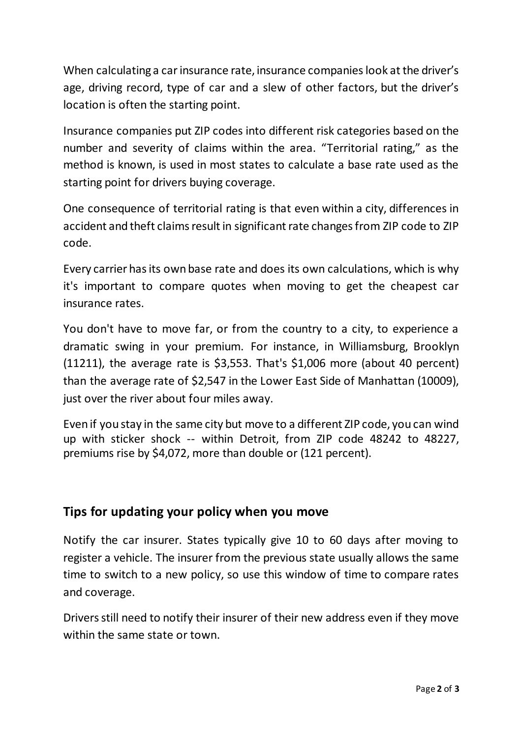When calculating a car insurance rate, insurance companies look at the driver's age, driving record, type of car and a slew of other factors, but the driver's location is often the starting point.

Insurance companies put ZIP codes into different risk categories based on the number and severity of claims within the area. "Territorial rating," as the method is known, is used in most states to calculate a base rate used as the starting point for drivers buying coverage.

One consequence of territorial rating is that even within a city, differences in accident and theft claims result in significant rate changes from ZIP code to ZIP code.

Every carrier has its own base rate and does its own calculations, which is why it's important to compare quotes when moving to get the cheapest car insurance rates.

You don't have to move far, or from the country to a city, to experience a dramatic swing in your premium. For instance, in Williamsburg, Brooklyn (11211), the average rate is \$3,553. That's \$1,006 more (about 40 percent) than the average rate of \$2,547 in the Lower East Side of Manhattan (10009), just over the river about four miles away.

Even if you stay in the same city but move to a different ZIP code, you can wind up with sticker shock -- within Detroit, from ZIP code 48242 to 48227, premiums rise by \$4,072, more than double or (121 percent).

## **Tips for updating your policy when you move**

Notify the car insurer. States typically give 10 to 60 days after moving to register a vehicle. The insurer from the previous state usually allows the same time to switch to a new policy, so use this window of time to compare rates and coverage.

Drivers still need to notify their insurer of their new address even if they move within the same state or town.